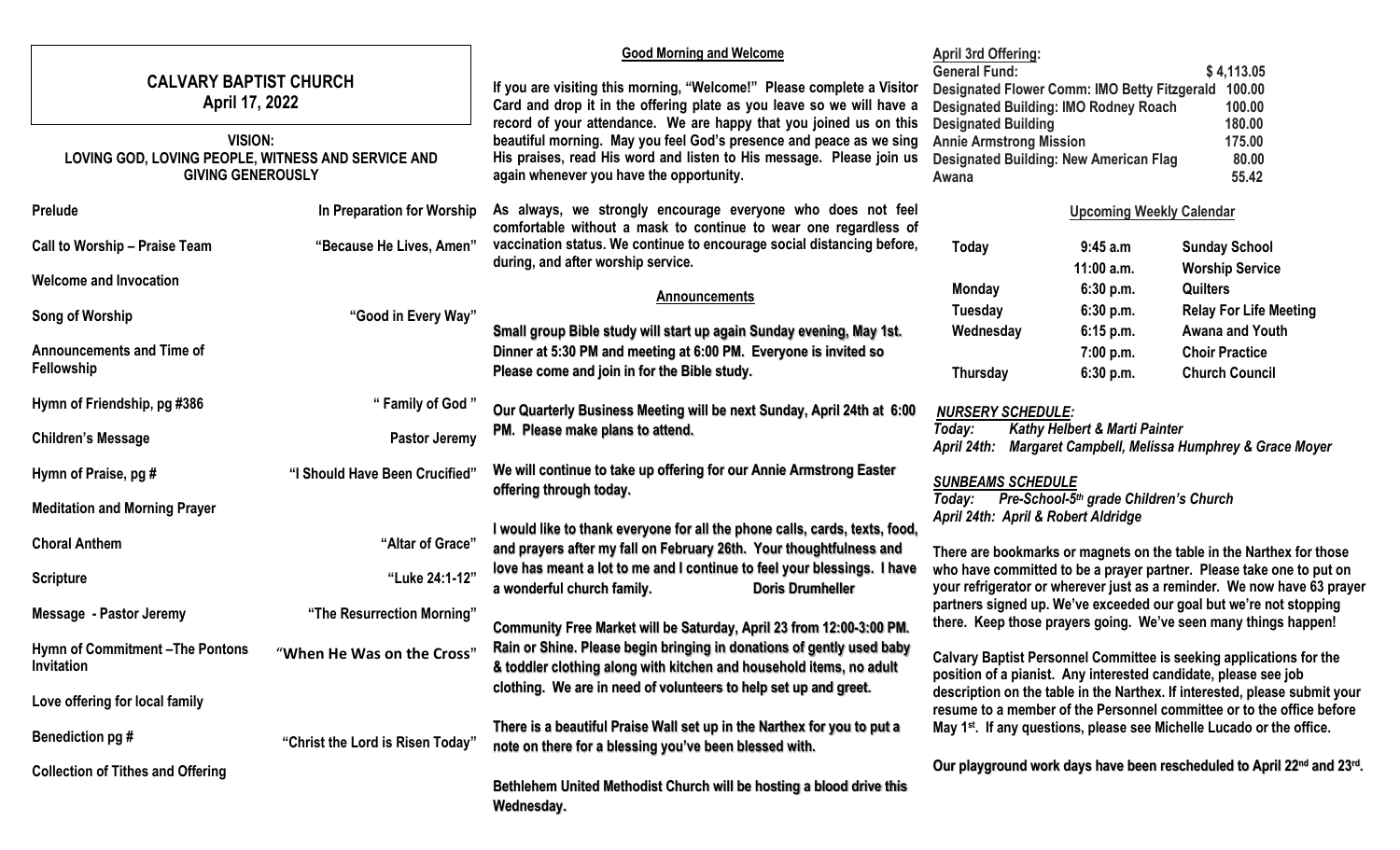| <b>CALVARY BAPTIST CHURCH</b><br>April 17, 2022                                                  |                                  | <b>Good Morning and Welcome</b><br>If you are visiting this morning, "Welcome!" Please complete a Visitor<br>Card and drop it in the offering plate as you leave so we will have a<br>record of your attendance. We are happy that you joined us on this | <b>April 3rd Offering:</b><br><b>General Fund:</b><br>\$4,113.05<br>Designated Flower Comm: IMO Betty Fitzgerald 100.00<br><b>Designated Building: IMO Rodney Roach</b><br>100.00<br><b>Designated Building</b><br>180.00<br>175.00<br><b>Annie Armstrong Mission</b><br><b>Designated Building: New American Flag</b><br>80.00<br>55.42<br>Awana                                                                                                                                                          |                                     |                                                                                                                                                     |
|--------------------------------------------------------------------------------------------------|----------------------------------|----------------------------------------------------------------------------------------------------------------------------------------------------------------------------------------------------------------------------------------------------------|------------------------------------------------------------------------------------------------------------------------------------------------------------------------------------------------------------------------------------------------------------------------------------------------------------------------------------------------------------------------------------------------------------------------------------------------------------------------------------------------------------|-------------------------------------|-----------------------------------------------------------------------------------------------------------------------------------------------------|
| <b>VISION:</b><br>LOVING GOD, LOVING PEOPLE, WITNESS AND SERVICE AND<br><b>GIVING GENEROUSLY</b> |                                  | beautiful morning. May you feel God's presence and peace as we sing<br>His praises, read His word and listen to His message. Please join us<br>again whenever you have the opportunity.                                                                  |                                                                                                                                                                                                                                                                                                                                                                                                                                                                                                            |                                     |                                                                                                                                                     |
| <b>Prelude</b>                                                                                   | In Preparation for Worship       | As always, we strongly encourage everyone who does not feel<br>comfortable without a mask to continue to wear one regardless of                                                                                                                          |                                                                                                                                                                                                                                                                                                                                                                                                                                                                                                            | <b>Upcoming Weekly Calendar</b>     |                                                                                                                                                     |
| <b>Call to Worship - Praise Team</b>                                                             | "Because He Lives, Amen"         | vaccination status. We continue to encourage social distancing before,<br>during, and after worship service.                                                                                                                                             | Today                                                                                                                                                                                                                                                                                                                                                                                                                                                                                                      | 9:45 a.m                            | <b>Sunday School</b>                                                                                                                                |
| <b>Welcome and Invocation</b>                                                                    |                                  | <b>Announcements</b>                                                                                                                                                                                                                                     | <b>Monday</b>                                                                                                                                                                                                                                                                                                                                                                                                                                                                                              | 11:00 a.m.<br>6:30 p.m.             | <b>Worship Service</b><br><b>Quilters</b>                                                                                                           |
| Song of Worship                                                                                  | "Good in Every Way"              |                                                                                                                                                                                                                                                          | Tuesday                                                                                                                                                                                                                                                                                                                                                                                                                                                                                                    | 6:30 p.m.                           | <b>Relay For Life Meeting</b>                                                                                                                       |
| <b>Announcements and Time of</b><br>Fellowship                                                   |                                  | Small group Bible study will start up again Sunday evening, May 1st.<br>Dinner at 5:30 PM and meeting at 6:00 PM. Everyone is invited so<br>Please come and join in for the Bible study.                                                                 | Wednesday<br>Thursday                                                                                                                                                                                                                                                                                                                                                                                                                                                                                      | 6:15 p.m.<br>7:00 p.m.<br>6:30 p.m. | <b>Awana and Youth</b><br><b>Choir Practice</b><br><b>Church Council</b>                                                                            |
| Hymn of Friendship, pg #386                                                                      | " Family of God"                 | Our Quarterly Business Meeting will be next Sunday, April 24th at 6:00                                                                                                                                                                                   | <b>NURSERY SCHEDULE:</b><br><b>Kathy Helbert &amp; Marti Painter</b><br>Today:<br>April 24th:<br>Margaret Campbell, Melissa Humphrey & Grace Moyer                                                                                                                                                                                                                                                                                                                                                         |                                     |                                                                                                                                                     |
| <b>Children's Message</b>                                                                        | Pastor Jeremy                    | PM. Please make plans to attend.                                                                                                                                                                                                                         |                                                                                                                                                                                                                                                                                                                                                                                                                                                                                                            |                                     |                                                                                                                                                     |
| Hymn of Praise, pg #                                                                             | "I Should Have Been Crucified"   | We will continue to take up offering for our Annie Armstrong Easter<br>offering through today.                                                                                                                                                           | <b>SUNBEAMS SCHEDULE</b><br>Pre-School-5 <sup>th</sup> grade Children's Church                                                                                                                                                                                                                                                                                                                                                                                                                             |                                     |                                                                                                                                                     |
| <b>Meditation and Morning Prayer</b>                                                             |                                  |                                                                                                                                                                                                                                                          | Today:<br>April 24th: April & Robert Aldridge                                                                                                                                                                                                                                                                                                                                                                                                                                                              |                                     |                                                                                                                                                     |
| <b>Choral Anthem</b>                                                                             | "Altar of Grace"                 | I would like to thank everyone for all the phone calls, cards, texts, food,<br>and prayers after my fall on February 26th. Your thoughtfulness and                                                                                                       | There are bookmarks or magnets on the table in the Narthex for those<br>who have committed to be a prayer partner. Please take one to put on<br>your refrigerator or wherever just as a reminder. We now have 63 prayer<br>partners signed up. We've exceeded our goal but we're not stopping<br>there. Keep those prayers going. We've seen many things happen!<br>Calvary Baptist Personnel Committee is seeking applications for the<br>position of a pianist. Any interested candidate, please see job |                                     |                                                                                                                                                     |
| <b>Scripture</b>                                                                                 | "Luke 24:1-12"                   | love has meant a lot to me and I continue to feel your blessings. I have<br><b>Doris Drumheller</b><br>a wonderful church family.                                                                                                                        |                                                                                                                                                                                                                                                                                                                                                                                                                                                                                                            |                                     |                                                                                                                                                     |
| Message - Pastor Jeremy                                                                          | "The Resurrection Morning"       | Community Free Market will be Saturday, April 23 from 12:00-3:00 PM.                                                                                                                                                                                     |                                                                                                                                                                                                                                                                                                                                                                                                                                                                                                            |                                     |                                                                                                                                                     |
| Hymn of Commitment-The Pontons<br>Invitation                                                     | "When He Was on the Cross"       | Rain or Shine. Please begin bringing in donations of gently used baby<br>& toddler clothing along with kitchen and household items, no adult                                                                                                             |                                                                                                                                                                                                                                                                                                                                                                                                                                                                                                            |                                     |                                                                                                                                                     |
| Love offering for local family                                                                   |                                  | clothing. We are in need of volunteers to help set up and greet.                                                                                                                                                                                         |                                                                                                                                                                                                                                                                                                                                                                                                                                                                                                            |                                     | description on the table in the Narthex. If interested, please submit your<br>resume to a member of the Personnel committee or to the office before |
| Benediction pg #                                                                                 | "Christ the Lord is Risen Today" | There is a beautiful Praise Wall set up in the Narthex for you to put a<br>note on there for a blessing you've been blessed with.                                                                                                                        | May 1 <sup>st</sup> . If any questions, please see Michelle Lucado or the office.                                                                                                                                                                                                                                                                                                                                                                                                                          |                                     |                                                                                                                                                     |
| <b>Collection of Tithes and Offering</b>                                                         |                                  | Bethlehem United Methodist Church will be hosting a blood drive this<br>Wednesday.                                                                                                                                                                       | Our playground work days have been rescheduled to April 22nd and 23rd.                                                                                                                                                                                                                                                                                                                                                                                                                                     |                                     |                                                                                                                                                     |